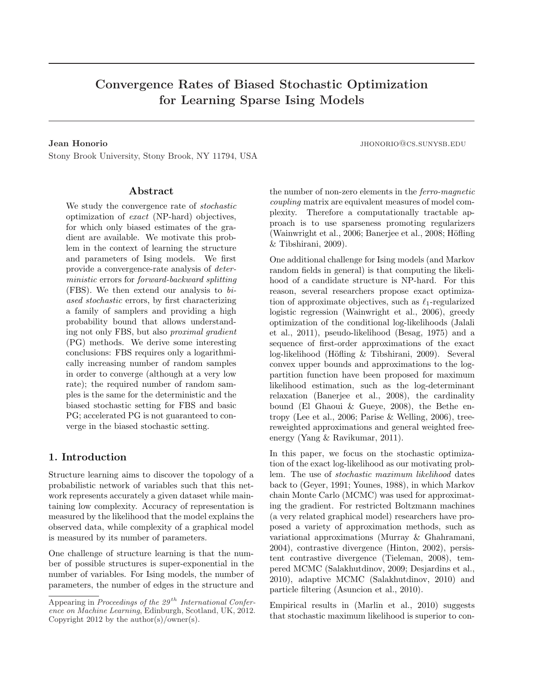# Convergence Rates of Biased Stochastic Optimization for Learning Sparse Ising Models

Stony Brook University, Stony Brook, NY 11794, USA

#### Abstract

We study the convergence rate of stochastic optimization of exact (NP-hard) objectives, for which only biased estimates of the gradient are available. We motivate this problem in the context of learning the structure and parameters of Ising models. We first provide a convergence-rate analysis of deterministic errors for forward-backward splitting (FBS). We then extend our analysis to biased stochastic errors, by first characterizing a family of samplers and providing a high probability bound that allows understanding not only FBS, but also proximal gradient (PG) methods. We derive some interesting conclusions: FBS requires only a logarithmically increasing number of random samples in order to converge (although at a very low rate); the required number of random samples is the same for the deterministic and the biased stochastic setting for FBS and basic PG; accelerated PG is not guaranteed to converge in the biased stochastic setting.

# 1. Introduction

Structure learning aims to discover the topology of a probabilistic network of variables such that this network represents accurately a given dataset while maintaining low complexity. Accuracy of representation is measured by the likelihood that the model explains the observed data, while complexity of a graphical model is measured by its number of parameters.

One challenge of structure learning is that the number of possible structures is super-exponential in the number of variables. For Ising models, the number of parameters, the number of edges in the structure and

**Jean Honorio** jhonorio jhonorio je bila je bila je bila je bila je bila je bila je bila je bila je bila je bila je bila je bila je bila je bila je bila je bila je bila je bila je bila je bila je bila je bila je bila je bi

the number of non-zero elements in the ferro-magnetic coupling matrix are equivalent measures of model complexity. Therefore a computationally tractable approach is to use sparseness promoting regularizers (Wainwright et al., 2006; Banerjee et al., 2008; Höfling & Tibshirani, 2009).

One additional challenge for Ising models (and Markov random fields in general) is that computing the likelihood of a candidate structure is NP-hard. For this reason, several researchers propose exact optimization of approximate objectives, such as  $\ell_1$ -regularized logistic regression (Wainwright et al., 2006), greedy optimization of the conditional log-likelihoods (Jalali et al., 2011), pseudo-likelihood (Besag, 1975) and a sequence of first-order approximations of the exact  $log-likelihood$  (Höfling & Tibshirani, 2009). Several convex upper bounds and approximations to the logpartition function have been proposed for maximum likelihood estimation, such as the log-determinant relaxation (Banerjee et al., 2008), the cardinality bound (El Ghaoui & Gueye, 2008), the Bethe entropy (Lee et al., 2006; Parise & Welling, 2006), treereweighted approximations and general weighted freeenergy (Yang & Ravikumar, 2011).

In this paper, we focus on the stochastic optimization of the exact log-likelihood as our motivating problem. The use of stochastic maximum likelihood dates back to (Geyer, 1991; Younes, 1988), in which Markov chain Monte Carlo (MCMC) was used for approximating the gradient. For restricted Boltzmann machines (a very related graphical model) researchers have proposed a variety of approximation methods, such as variational approximations (Murray & Ghahramani, 2004), contrastive divergence (Hinton, 2002), persistent contrastive divergence (Tieleman, 2008), tempered MCMC (Salakhutdinov, 2009; Desjardins et al., 2010), adaptive MCMC (Salakhutdinov, 2010) and particle filtering (Asuncion et al., 2010).

Empirical results in (Marlin et al., 2010) suggests that stochastic maximum likelihood is superior to con-

Appearing in Proceedings of the  $29<sup>th</sup> International Confer$ ence on Machine Learning, Edinburgh, Scotland, UK, 2012. Copyright 2012 by the  $\text{author}(s)/\text{owner}(s)$ .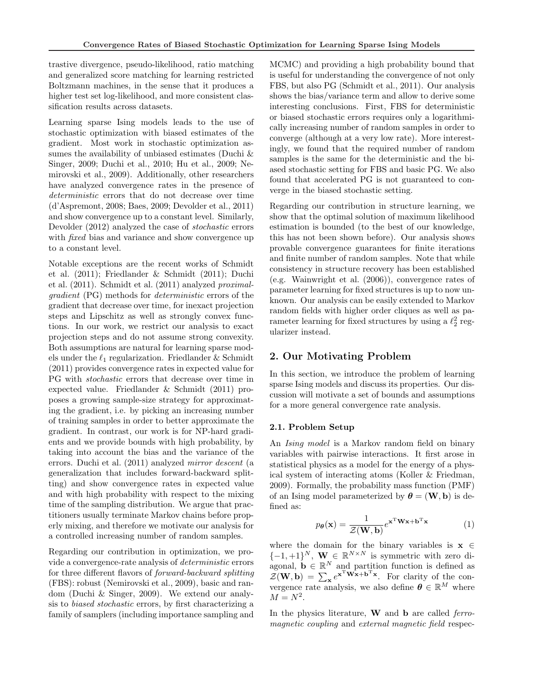trastive divergence, pseudo-likelihood, ratio matching and generalized score matching for learning restricted Boltzmann machines, in the sense that it produces a higher test set log-likelihood, and more consistent classification results across datasets.

Learning sparse Ising models leads to the use of stochastic optimization with biased estimates of the gradient. Most work in stochastic optimization assumes the availability of unbiased estimates (Duchi & Singer, 2009; Duchi et al., 2010; Hu et al., 2009; Nemirovski et al., 2009). Additionally, other researchers have analyzed convergence rates in the presence of deterministic errors that do not decrease over time (d'Aspremont, 2008; Baes, 2009; Devolder et al., 2011) and show convergence up to a constant level. Similarly, Devolder (2012) analyzed the case of stochastic errors with *fixed* bias and variance and show convergence up to a constant level.

Notable exceptions are the recent works of Schmidt et al. (2011); Friedlander & Schmidt (2011); Duchi et al. (2011). Schmidt et al. (2011) analyzed proximalgradient (PG) methods for deterministic errors of the gradient that decrease over time, for inexact projection steps and Lipschitz as well as strongly convex functions. In our work, we restrict our analysis to exact projection steps and do not assume strong convexity. Both assumptions are natural for learning sparse models under the  $\ell_1$  regularization. Friedlander & Schmidt (2011) provides convergence rates in expected value for PG with stochastic errors that decrease over time in expected value. Friedlander & Schmidt (2011) proposes a growing sample-size strategy for approximating the gradient, i.e. by picking an increasing number of training samples in order to better approximate the gradient. In contrast, our work is for NP-hard gradients and we provide bounds with high probability, by taking into account the bias and the variance of the errors. Duchi et al. (2011) analyzed mirror descent (a generalization that includes forward-backward splitting) and show convergence rates in expected value and with high probability with respect to the mixing time of the sampling distribution. We argue that practitioners usually terminate Markov chains before properly mixing, and therefore we motivate our analysis for a controlled increasing number of random samples.

Regarding our contribution in optimization, we provide a convergence-rate analysis of deterministic errors for three different flavors of forward-backward splitting (FBS): robust (Nemirovski et al., 2009), basic and random (Duchi & Singer, 2009). We extend our analysis to biased stochastic errors, by first characterizing a family of samplers (including importance sampling and

MCMC) and providing a high probability bound that is useful for understanding the convergence of not only FBS, but also PG (Schmidt et al., 2011). Our analysis shows the bias/variance term and allow to derive some interesting conclusions. First, FBS for deterministic or biased stochastic errors requires only a logarithmically increasing number of random samples in order to converge (although at a very low rate). More interestingly, we found that the required number of random samples is the same for the deterministic and the biased stochastic setting for FBS and basic PG. We also found that accelerated PG is not guaranteed to converge in the biased stochastic setting.

Regarding our contribution in structure learning, we show that the optimal solution of maximum likelihood estimation is bounded (to the best of our knowledge, this has not been shown before). Our analysis shows provable convergence guarantees for finite iterations and finite number of random samples. Note that while consistency in structure recovery has been established (e.g. Wainwright et al. (2006)), convergence rates of parameter learning for fixed structures is up to now unknown. Our analysis can be easily extended to Markov random fields with higher order cliques as well as parameter learning for fixed structures by using a  $\ell_2^2$  regularizer instead.

# 2. Our Motivating Problem

In this section, we introduce the problem of learning sparse Ising models and discuss its properties. Our discussion will motivate a set of bounds and assumptions for a more general convergence rate analysis.

#### 2.1. Problem Setup

An *Ising model* is a Markov random field on binary variables with pairwise interactions. It first arose in statistical physics as a model for the energy of a physical system of interacting atoms (Koller & Friedman, 2009). Formally, the probability mass function (PMF) of an Ising model parameterized by  $\boldsymbol{\theta} = (\mathbf{W}, \mathbf{b})$  is defined as:

$$
p_{\theta}(\mathbf{x}) = \frac{1}{\mathcal{Z}(\mathbf{W}, \mathbf{b})} e^{\mathbf{x}^{\mathrm{T}} \mathbf{W} \mathbf{x} + \mathbf{b}^{\mathrm{T}} \mathbf{x}} \tag{1}
$$

where the domain for the binary variables is  $x \in$  $\{-1,+1\}^N$ ,  $\mathbf{W} \in \mathbb{R}^{N \times N}$  is symmetric with zero diagonal,  $\mathbf{b} \in \mathbb{R}^N$  and partition function is defined as  $\mathcal{Z}(\mathbf{W}, \mathbf{b}) = \sum_{\mathbf{x}} e^{\mathbf{x}^T \mathbf{W} \mathbf{x} + \mathbf{b}^T \mathbf{x}}$ . For clarity of the convergence rate analysis, we also define  $\boldsymbol{\theta} \in \mathbb{R}^M$  where  $M = N^2$ .

In the physics literature,  $W$  and  $b$  are called *ferro*magnetic coupling and external magnetic field respec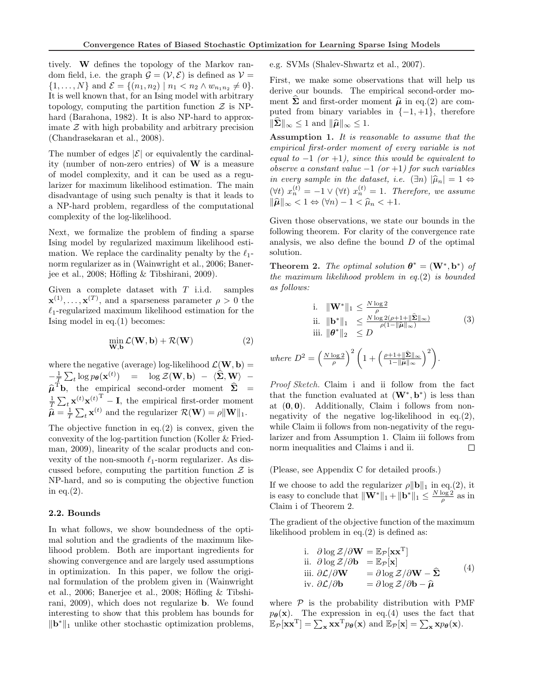tively. W defines the topology of the Markov random field, i.e. the graph  $\mathcal{G} = (\mathcal{V}, \mathcal{E})$  is defined as  $\mathcal{V} =$  $\{1, \ldots, N\}$  and  $\mathcal{E} = \{(n_1, n_2) \mid n_1 < n_2 \land w_{n_1 n_2} \neq 0\}.$ It is well known that, for an Ising model with arbitrary topology, computing the partition function  $\mathcal Z$  is NPhard (Barahona, 1982). It is also NP-hard to approximate  $Z$  with high probability and arbitrary precision (Chandrasekaran et al., 2008).

The number of edges  $|\mathcal{E}|$  or equivalently the cardinality (number of non-zero entries) of W is a measure of model complexity, and it can be used as a regularizer for maximum likelihood estimation. The main disadvantage of using such penalty is that it leads to a NP-hard problem, regardless of the computational complexity of the log-likelihood.

Next, we formalize the problem of finding a sparse Ising model by regularized maximum likelihood estimation. We replace the cardinality penalty by the  $\ell_1$ norm regularizer as in (Wainwright et al., 2006; Banerjee et al., 2008; Höfling  $&$  Tibshirani, 2009).

Given a complete dataset with  $T$  i.i.d. samples  $\mathbf{x}^{(1)}, \dots, \mathbf{x}^{(T)}$ , and a sparseness parameter  $\rho > 0$  the  $\ell_1$ -regularized maximum likelihood estimation for the Ising model in eq.(1) becomes:

$$
\min_{\mathbf{W},\mathbf{b}} \mathcal{L}(\mathbf{W},\mathbf{b}) + \mathcal{R}(\mathbf{W})
$$
\n(2)

where the negative (average) log-likelihood  $\mathcal{L}(\mathbf{W}, \mathbf{b}) =$  $-\frac{1}{T}$  $\tilde{c}$  $t_{t} \log p_{\theta}(\mathbf{x}^{(t)}) = \log \mathcal{Z}(\mathbf{W}, \mathbf{b}) - \langle \widehat{\mathbf{\Sigma}}, \mathbf{W} \rangle \widehat{\boldsymbol{\mu}}^{\mathrm{T}}$ **b**, the empirical second-order moment  $\widehat{\boldsymbol{\Sigma}}$  =  $\frac{1}{T}$  $\sum_{t} \mathbf{x}^{(t)} \mathbf{x}^{(t)}^{\mathrm{T}} - \mathbf{I}$ , the empirical first-order moment  $\widehat{\boldsymbol{\mu}} = \frac{1}{T}$  $\sum_{t} \mathbf{x}^{(t)}$  and the regularizer  $\mathcal{R}(\mathbf{W}) = \rho \|\mathbf{W}\|_1$ .

The objective function in eq. $(2)$  is convex, given the convexity of the log-partition function (Koller & Friedman, 2009), linearity of the scalar products and convexity of the non-smooth  $\ell_1$ -norm regularizer. As discussed before, computing the partition function  $\mathcal Z$  is NP-hard, and so is computing the objective function in eq. $(2)$ .

#### 2.2. Bounds

In what follows, we show boundedness of the optimal solution and the gradients of the maximum likelihood problem. Both are important ingredients for showing convergence and are largely used assumptions in optimization. In this paper, we follow the original formulation of the problem given in (Wainwright et al., 2006; Banerjee et al., 2008; Höfling  $&$  Tibshirani, 2009), which does not regularize b. We found interesting to show that this problem has bounds for  $\|\mathbf{b}^*\|_1$  unlike other stochastic optimization problems, e.g. SVMs (Shalev-Shwartz et al., 2007).

First, we make some observations that will help us derive our bounds. The empirical second-order moment  $\Sigma$  and first-order moment  $\hat{\mu}$  in eq.(2) are computed from binary variables in  $\{-1, +1\}$ , therefore  $\|\boldsymbol{\Sigma}\|_{\infty} \leq 1$  and  $\|\boldsymbol{\widehat{\mu}}\|_{\infty} \leq 1$ .

Assumption 1. It is reasonable to assume that the empirical first-order moment of every variable is not equal to  $-1$  (or  $+1$ ), since this would be equivalent to observe a constant value  $-1$  (or  $+1$ ) for such variables in every sample in the dataset, i.e.  $(\exists n)$   $|\hat{\mu}_n| = 1 \Leftrightarrow$  $(\forall t)$   $x_n^{(t)} = -1 \vee (\forall t)$   $x_n^{(t)} = 1$ . Therefore, we assume  $\|\widehat{\boldsymbol{\mu}}\|_{\infty} < 1 \Leftrightarrow (\forall n) - 1 < \widehat{\mu}_n < +1.$ 

Given those observations, we state our bounds in the following theorem. For clarity of the convergence rate analysis, we also define the bound  $D$  of the optimal solution.

**Theorem 2.** The optimal solution  $\boldsymbol{\theta}^* = (\mathbf{W}^*, \mathbf{b}^*)$  of the maximum likelihood problem in eq.(2) is bounded as follows:

i. 
$$
\|\mathbf{W}^*\|_1 \leq \frac{N \log 2}{\rho}
$$
  
\nii. 
$$
\|\mathbf{b}^*\|_1 \leq \frac{N \log 2(\rho + 1 + \|\hat{\boldsymbol{\Sigma}}\|_{\infty})}{\rho(1 - \|\hat{\boldsymbol{\mu}}\|_{\infty})}
$$
(3)  
\niii. 
$$
\|\boldsymbol{\theta}^*\|_2 \leq D
$$

where  $D^2 =$  $\left(\frac{N\log 2}{\rho}\right)$  $\int^{2} \left(1 + \left(\frac{\rho + 1 + \|\widehat{\boldsymbol{\Sigma}}\|_{\infty}}{1 - \|\widehat{\boldsymbol{\Omega}}\|}\right)\right)$  $1-\|\widehat{\boldsymbol{\mu}}\|_{\infty}$  $\langle 2 \rangle$ .

Proof Sketch. Claim i and ii follow from the fact that the function evaluated at  $(W^*, b^*)$  is less than at  $(0, 0)$ . Additionally, Claim i follows from nonnegativity of the negative log-likelihood in eq. $(2)$ , while Claim ii follows from non-negativity of the regularizer and from Assumption 1. Claim iii follows from norm inequalities and Claims i and ii.  $\Box$ 

(Please, see Appendix C for detailed proofs.)

If we choose to add the regularizer  $\rho \|\mathbf{b}\|_1$  in eq.(2), it is easy to conclude that  $\|\mathbf{W}^*\|_1 + \|\mathbf{b}^*\|_1 \le \frac{N \log 2}{\rho}$  as in Claim i of Theorem 2.

The gradient of the objective function of the maximum likelihood problem in eq.(2) is defined as:

i. 
$$
\partial \log Z / \partial \mathbf{W} = \mathbb{E}_{\mathcal{P}}[\mathbf{x}\mathbf{x}^{\mathrm{T}}]
$$
  
\nii.  $\partial \log Z / \partial \mathbf{b} = \mathbb{E}_{\mathcal{P}}[\mathbf{x}]$   
\niii.  $\partial \mathcal{L} / \partial \mathbf{W} = \partial \log Z / \partial \mathbf{W} - \hat{\mathbf{\Sigma}}$  (4)  
\niv.  $\partial \mathcal{L} / \partial \mathbf{b} = \partial \log Z / \partial \mathbf{b} - \hat{\boldsymbol{\mu}}$ 

where  $P$  is the probability distribution with PMF  $p_{\theta}(\mathbf{x})$ . The expression in eq.(4) uses the fact that  $p_{\theta}(\mathbf{x})$ . The expression in eq.(4) uses the fact the  $\mathbb{E}_{\mathcal{P}}[\mathbf{x}\mathbf{x}^T] = \sum_{\mathbf{x}} \mathbf{x} \mathbf{x}^T p_{\theta}(\mathbf{x})$  and  $\mathbb{E}_{\mathcal{P}}[\mathbf{x}] = \sum_{\mathbf{x}} \mathbf{x} p_{\theta}(\mathbf{x})$ .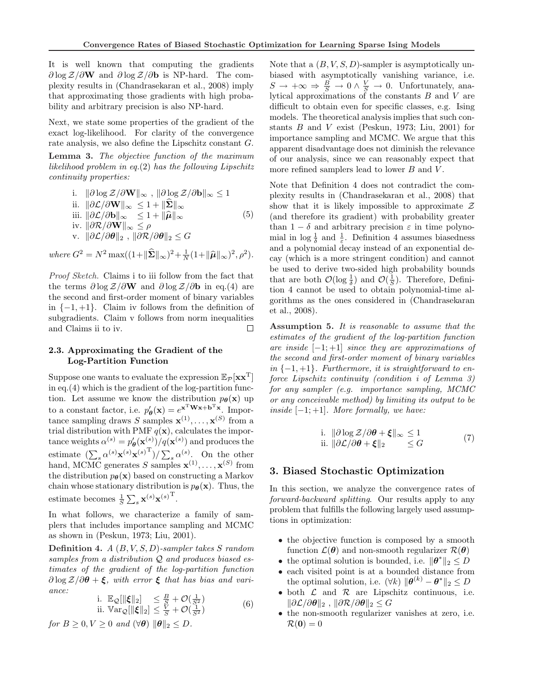It is well known that computing the gradients  $\partial \log \mathcal{Z}/\partial W$  and  $\partial \log \mathcal{Z}/\partial b$  is NP-hard. The complexity results in (Chandrasekaran et al., 2008) imply that approximating those gradients with high probability and arbitrary precision is also NP-hard.

Next, we state some properties of the gradient of the exact log-likelihood. For clarity of the convergence rate analysis, we also define the Lipschitz constant G.

Lemma 3. The objective function of the maximum likelihood problem in eq.(2) has the following Lipschitz continuity properties:

i. 
$$
\|\partial \log \mathcal{Z}/\partial \mathbf{W}\|_{\infty}
$$
,  $\|\partial \log \mathcal{Z}/\partial \mathbf{b}\|_{\infty} \le 1$   
\nii.  $\|\partial \mathcal{L}/\partial \mathbf{W}\|_{\infty} \le 1 + \|\hat{\mathbf{\Sigma}}\|_{\infty}$   
\niii.  $\|\partial \mathcal{L}/\partial \mathbf{b}\|_{\infty} \le 1 + \|\hat{\boldsymbol{\mu}}\|_{\infty}$   
\niv.  $\|\partial \mathcal{R}/\partial \mathbf{W}\|_{\infty} \le \rho$   
\nv.  $\|\partial \mathcal{L}/\partial \boldsymbol{\theta}\|_{2}$ ,  $\|\partial \mathcal{R}/\partial \boldsymbol{\theta}\|_{2} \le G$  (5)

where  $G^2 = N^2 \max((1 + ||\hat{\Sigma}||_{\infty})^2 + \frac{1}{N}(1 + ||\hat{\mu}||_{\infty})^2, \rho^2)$ .

Proof Sketch. Claims i to iii follow from the fact that the terms  $\partial \log \mathcal{Z}/\partial \mathbf{W}$  and  $\partial \log \mathcal{Z}/\partial \mathbf{b}$  in eq.(4) are the second and first-order moment of binary variables in  $\{-1, +1\}$ . Claim iv follows from the definition of subgradients. Claim v follows from norm inequalities and Claims ii to iv.  $\Box$ 

# 2.3. Approximating the Gradient of the Log-Partition Function

Suppose one wants to evaluate the expression  $\mathbb{E}_{\mathcal{P}}[xx^T]$ in eq.(4) which is the gradient of the log-partition function. Let assume we know the distribution  $p_{\theta}(\mathbf{x})$  up to a constant factor, i.e.  $p'_{\theta}(\mathbf{x}) = e^{\mathbf{x}^{\mathrm{T}} \mathbf{W} \mathbf{x} + \mathbf{b}^{\mathrm{T}} \mathbf{x}}$ . Importance sampling draws S samples  $\mathbf{x}^{(1)}, \dots, \mathbf{x}^{(S)}$  from a trial distribution with PMF  $q(\mathbf{x})$ , calculates the importance weights  $\alpha^{(s)} = p'_{\theta}(\mathbf{x}^{(s)})/q(\mathbf{x}^{(s)})$  and produces the estimate  $(\sum_{s} \alpha^{(s)} \mathbf{x}^{(s)} \mathbf{x}^{(s)}^{\mathrm{T}})/\sum_{s} \alpha^{(s)}$ . On the other hand, MCMC generates S samples  $\mathbf{x}^{(1)}, \dots, \mathbf{x}^{(S)}$  from the distribution  $p_{\theta}(\mathbf{x})$  based on constructing a Markov chain whose stationary distribution is  $p_{\theta}(\mathbf{x})$ . Thus, the estimate becomes  $\frac{1}{S}$  $\sum_s \mathbf{x}^{(s)} \mathbf{x}^{(s)T}$ .

In what follows, we characterize a family of samplers that includes importance sampling and MCMC as shown in (Peskun, 1973; Liu, 2001).

Definition 4.  $A(B, V, S, D)$ -sampler takes S random samples from a distribution  $Q$  and produces biased estimates of the gradient of the log-partition function  $\partial \log Z/\partial \theta + \xi$ , with error  $\xi$  that has bias and variance:

i. 
$$
\mathbb{E}_{\mathcal{Q}}[\|\boldsymbol{\xi}\|_2] \leq \frac{B}{S} + \mathcal{O}(\frac{1}{S^2})
$$
  
ii. 
$$
\mathbb{V}\text{ar}_{\mathcal{Q}}[\|\boldsymbol{\xi}\|_2] \leq \frac{V}{S} + \mathcal{O}(\frac{1}{S^2})
$$
(6)

for  $B \geq 0, V \geq 0$  and  $(\forall \theta)$   $\|\theta\|_2 \leq D$ .

Note that a  $(B, V, S, D)$ -sampler is asymptotically unbiased with asymptotically vanishing variance, i.e.  $S \to +\infty \Rightarrow \frac{B}{S} \to 0 \wedge \frac{V}{S} \to 0$ . Unfortunately, analytical approximations of the constants  $B$  and  $V$  are difficult to obtain even for specific classes, e.g. Ising models. The theoretical analysis implies that such constants B and V exist (Peskun, 1973; Liu, 2001) for importance sampling and MCMC. We argue that this apparent disadvantage does not diminish the relevance of our analysis, since we can reasonably expect that more refined samplers lead to lower  $B$  and  $V$ .

Note that Definition 4 does not contradict the complexity results in (Chandrasekaran et al., 2008) that show that it is likely impossible to approximate  $\mathcal Z$ (and therefore its gradient) with probability greater than  $1 - \delta$  and arbitrary precision  $\varepsilon$  in time polynomial in  $\log \frac{1}{\delta}$  and  $\frac{1}{\varepsilon}$ . Definition 4 assumes biasedness and a polynomial decay instead of an exponential decay (which is a more stringent condition) and cannot be used to derive two-sided high probability bounds that are both  $\mathcal{O}(\log \frac{1}{\delta})$  and  $\mathcal{O}(\frac{1}{S})$ . Therefore, Definition 4 cannot be used to obtain polynomial-time algorithms as the ones considered in (Chandrasekaran et al., 2008).

Assumption 5. It is reasonable to assume that the estimates of the gradient of the log-partition function are inside  $[-1; +1]$  since they are approximations of the second and first-order moment of binary variables in  $\{-1, +1\}$ . Furthermore, it is straightforward to enforce Lipschitz continuity (condition i of Lemma 3) for any sampler (e.g. importance sampling, MCMC or any conceivable method) by limiting its output to be inside  $[-1; +1]$ . More formally, we have:

i. 
$$
\|\partial \log \mathcal{Z}/\partial \theta + \xi\|_{\infty} \le 1
$$
  
ii.  $\|\partial \mathcal{L}/\partial \theta + \xi\|_{2} \le G$  (7)

### 3. Biased Stochastic Optimization

In this section, we analyze the convergence rates of forward-backward splitting. Our results apply to any problem that fulfills the following largely used assumptions in optimization:

- the objective function is composed by a smooth function  $\mathcal{L}(\theta)$  and non-smooth regularizer  $\mathcal{R}(\theta)$
- the optimal solution is bounded, i.e.  $\|\boldsymbol{\theta}^*\|_2 \leq D$
- each visited point is at a bounded distance from the optimal solution, i.e.  $(\forall k)$   $\|\boldsymbol{\theta}^{(k)} - \boldsymbol{\theta}^*\|_2 \leq D$
- both  $\mathcal L$  and  $\mathcal R$  are Lipschitz continuous, i.e.  $\|\partial \mathcal{L}/\partial \boldsymbol{\theta}\|_2$ ,  $\|\partial \mathcal{R}/\partial \boldsymbol{\theta}\|_2 \leq G$
- the non-smooth regularizer vanishes at zero, i.e.  $\mathcal{R}(\mathbf{0}) = 0$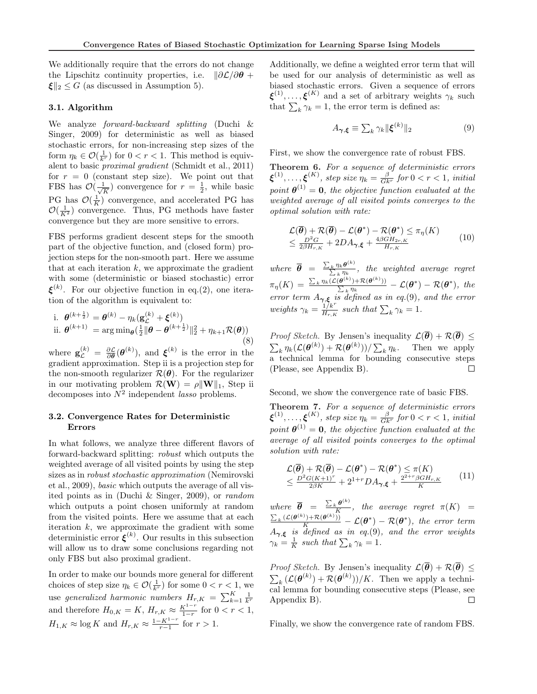We additionally require that the errors do not change the Lipschitz continuity properties, i.e.  $\frac{\partial \mathcal{L}}{\partial \theta}$  +  $\vert \boldsymbol{\xi} \vert \vert_2 \leq G$  (as discussed in Assumption 5).

#### 3.1. Algorithm

We analyze forward-backward splitting (Duchi & Singer, 2009) for deterministic as well as biased stochastic errors, for non-increasing step sizes of the form  $\eta_k \in \mathcal{O}(\frac{1}{k^r})$  for  $0 < r < 1$ . This method is equivalent to basic proximal gradient (Schmidt et al., 2011) for  $r = 0$  (constant step size). We point out that FBS has  $\mathcal{O}(\frac{1}{\sqrt{2}})$  $\frac{1}{\overline{K}}$ ) convergence for  $r = \frac{1}{2}$ , while basic PG has  $\mathcal{O}(\frac{1}{K})$  convergence, and accelerated PG has  $\mathcal{O}(\frac{1}{K^2})$  convergence. Thus, PG methods have faster convergence but they are more sensitive to errors.

FBS performs gradient descent steps for the smooth part of the objective function, and (closed form) projection steps for the non-smooth part. Here we assume that at each iteration  $k$ , we approximate the gradient with some (deterministic or biased stochastic) error  $\xi^{(k)}$ . For our objective function in eq.(2), one iteration of the algorithm is equivalent to:

i. 
$$
\theta^{(k+\frac{1}{2})} = \theta^{(k)} - \eta_k(\mathbf{g}_{\mathcal{L}}^{(k)} + \boldsymbol{\xi}^{(k)})
$$
  
ii. 
$$
\theta^{(k+1)} = \arg \min_{\theta} (\frac{1}{2} || \boldsymbol{\theta} - \boldsymbol{\theta}^{(k+\frac{1}{2})} ||_2^2 + \eta_{k+1} \mathcal{R}(\boldsymbol{\theta}))
$$
(8)

where  $\mathbf{g}_{\mathcal{L}}^{(k)} = \frac{\partial \mathcal{L}}{\partial \theta}(\theta^{(k)})$ , and  $\boldsymbol{\xi}^{(k)}$  is the error in the gradient approximation. Step ii is a projection step for the non-smooth regularizer  $\mathcal{R}(\theta)$ . For the regularizer in our motivating problem  $\mathcal{R}(\mathbf{W}) = \rho \|\mathbf{W}\|_1$ , Step ii decomposes into  $N^2$  independent *lasso* problems.

## 3.2. Convergence Rates for Deterministic Errors

In what follows, we analyze three different flavors of forward-backward splitting: robust which outputs the weighted average of all visited points by using the step sizes as in robust stochastic approximation (Nemirovski et al., 2009), basic which outputs the average of all visited points as in (Duchi & Singer, 2009), or random which outputs a point chosen uniformly at random from the visited points. Here we assume that at each iteration  $k$ , we approximate the gradient with some deterministic error  $\xi^{(k)}$ . Our results in this subsection will allow us to draw some conclusions regarding not only FBS but also proximal gradient.

In order to make our bounds more general for different choices of step size  $\eta_k \in \mathcal{O}(\frac{1}{k^r})$  for some  $0 < r < 1$ , we use generalized harmonic numbers  $H_{r,K} = \sum_{k=1}^{K} \frac{1}{k^r}$ and therefore  $H_{0,K} = K$ ,  $H_{r,K} \approx \frac{K^{1-r}}{1-r}$  for  $0 < r < 1$ ,  $H_{1,K} \approx \log K$  and  $H_{r,K} \approx \frac{1-K^{1-r}}{r-1}$  for  $r > 1$ .

Additionally, we define a weighted error term that will be used for our analysis of deterministic as well as biased stochastic errors. Given a sequence of errors  $\xi^{(1)}, \ldots, \xi^{(K)}$  and a set of arbitrary weights  $\gamma_k$  such  $\zeta^{\gamma}, \ldots, \zeta^{\gamma}$  and a set of arbitrary weights<br>that  $\sum_{k} \gamma_k = 1$ , the error term is defined as:

$$
A_{\gamma,\xi} \equiv \sum_{k} \gamma_k \|\xi^{(k)}\|_2 \tag{9}
$$

First, we show the convergence rate of robust FBS.

Theorem 6. For a sequence of deterministic errors  $\boldsymbol{\xi}^{(1)}, \dots, \boldsymbol{\xi}^{(K)},$  step size  $\eta_k = \frac{\beta}{Gk^r}$  for  $0 < r < 1$ , initial point  $\boldsymbol{\theta}^{(1)} = \mathbf{0}$ , the objective function evaluated at the weighted average of all visited points converges to the optimal solution with rate:

$$
\mathcal{L}(\overline{\theta}) + \mathcal{R}(\overline{\theta}) - \mathcal{L}(\theta^*) - \mathcal{R}(\theta^*) \le \pi_{\eta}(K) \le \frac{D^2 G}{2\beta H_{r,K}} + 2DA_{\gamma,\xi} + \frac{4\beta G H_{2r,K}}{H_{r,K}}
$$
\n(10)

where  $\overline{\theta}$  =  $\frac{\sum_{k}\eta_{k}\boldsymbol{\theta}^{(k)}}{\sum_{k}\eta_{k}},$  the weighted average regret  $\pi_{\eta}(K) =$  $\sum_{k} \eta_k(\mathcal{L}(\boldsymbol{\theta}^{(k)}) + \mathcal{R}(\boldsymbol{\theta}^{(k)}))$  $\frac{L^{k}(\theta^{(k)})+R(\theta^{(k)}))}{L^{k}}-\mathcal{L}(\theta^{*})-\mathcal{R}(\theta^{*}), \ the$ error term  $A_{\gamma,\xi}$  is defined as in eq.(9), and the error weights  $\gamma_k = \frac{1/k^r}{H_{\text{max}}}$  $\frac{1/k^r}{H_{r,K}}$  such that  $\sum_k \gamma_k = 1$ .

*Proof Sketch.* By Jensen's inequality  $\mathcal{L}(\overline{\theta}) + \mathcal{R}(\overline{\theta}) \leq$  $\stackrel{1}{\leftarrow}$  $\frac{1}{k} \eta_k(\mathcal{L}(\boldsymbol{\theta}^{(k)}) + \mathcal{R}(\boldsymbol{\theta}^{(k)}))/\sum$  $_{k}\eta_{k}$ . Then we apply a technical lemma for bounding consecutive steps (Please, see Appendix B).  $\Box$ 

Second, we show the convergence rate of basic FBS.

Theorem 7. For a sequence of deterministic errors  $\boldsymbol{\xi}^{(1)}, \dots, \boldsymbol{\xi}^{(K)},$  step size  $\eta_k = \frac{\beta}{Gk^r}$  for  $0 < r < 1$ , initial point  $\boldsymbol{\theta}^{(1)} = \mathbf{0}$ , the objective function evaluated at the average of all visited points converges to the optimal solution with rate:

$$
\mathcal{L}(\overline{\theta}) + \mathcal{R}(\overline{\theta}) - \mathcal{L}(\theta^*) - \mathcal{R}(\theta^*) \leq \pi(K) \leq \frac{D^2 G(K+1)^r}{2\beta K} + 2^{1+r} D A_{\gamma,\xi} + \frac{2^{2+r} \beta G H_{r,K}}{K}
$$
\n(11)

where  $\overline{\theta}$  =  $\sum_k \boldsymbol{\theta}^{(k)}$ where  $\overline{\theta} = \frac{\sum_{k} \theta^{k-j}}{K}$ , the average regret  $\pi(K) = \frac{\sum_{k} (\mathcal{L}(\theta^{(k)}) + \mathcal{R}(\theta^{(k)}))}{K} - \mathcal{L}(\theta^{*}) - \mathcal{R}(\theta^{*})$ , the error term  $A_{\gamma,\xi}$  is defined as in eq.(9), and the error weights  $A_{\gamma,\xi}$  is defined as in eq.(9),<br>  $\gamma_k = \frac{1}{K}$  such that  $\sum_k \gamma_k = 1$ .

*Proof Sketch.* By Jensen's inequality  $\mathcal{L}(\overline{\theta}) + \mathcal{R}(\overline{\theta}) \leq$  $\stackrel{1}{\leftarrow}$  $\kappa (\mathcal{L}(\boldsymbol{\theta}^{(k)}) + \mathcal{R}(\boldsymbol{\theta}^{(k)}))/K$ . Then we apply a technical lemma for bounding consecutive steps (Please, see Appendix B). П

Finally, we show the convergence rate of random FBS.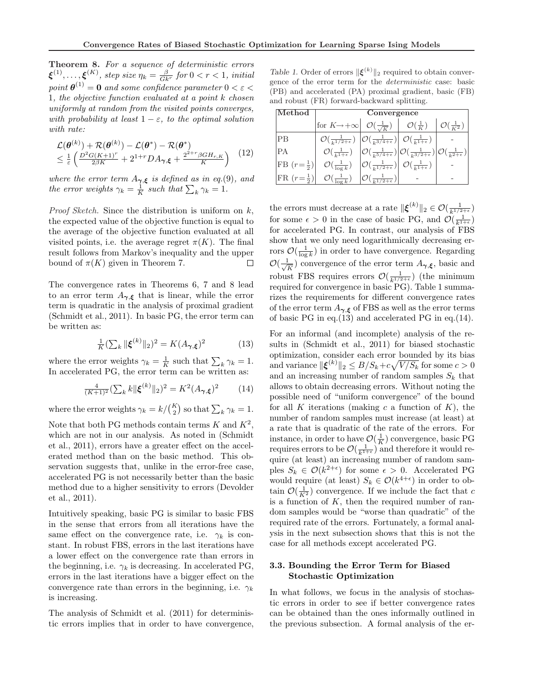Theorem 8. For a sequence of deterministic errors  $\boldsymbol{\xi}^{(1)}, \ldots, \boldsymbol{\xi}^{(K)},$  step size  $\eta_k = \frac{\beta}{Gk^r}$  for  $0 < r < 1,$  initial point  $\boldsymbol{\theta}^{(1)} = \boldsymbol{0}$  and some confidence parameter  $0 < \varepsilon <$ 1, the objective function evaluated at a point k chosen uniformly at random from the visited points converges, with probability at least  $1 - \varepsilon$ , to the optimal solution with rate:

$$
\mathcal{L}(\boldsymbol{\theta}^{(k)}) + \mathcal{R}(\boldsymbol{\theta}^{(k)}) - \mathcal{L}(\boldsymbol{\theta}^*) - \mathcal{R}(\boldsymbol{\theta}^*)
$$
\n
$$
\leq \frac{1}{\varepsilon} \left( \frac{D^2 G (K+1)^r}{2\beta K} + 2^{1+r} D A_{\gamma,\xi} + \frac{2^{2+r} \beta G H_{r,K}}{K} \right) \tag{12}
$$

where the error term  $A_{\gamma,\xi}$  is defined as in eq.(9), and where the error term  $A_{\gamma,\xi}$  is defined as in eq.(x)<br>the error weights  $\gamma_k = \frac{1}{K}$  such that  $\sum_k \gamma_k = 1$ .

*Proof Sketch.* Since the distribution is uniform on  $k$ , the expected value of the objective function is equal to the average of the objective function evaluated at all visited points, i.e. the average regret  $\pi(K)$ . The final result follows from Markov's inequality and the upper bound of  $\pi(K)$  given in Theorem 7.  $\Box$ 

The convergence rates in Theorems 6, 7 and 8 lead to an error term  $A_{\gamma,\xi}$  that is linear, while the error term is quadratic in the analysis of proximal gradient (Schmidt et al., 2011). In basic PG, the error term can be written as:

$$
\frac{1}{K} \left( \sum_{k} \|\xi^{(k)}\|_{2} \right)^{2} = K(A_{\gamma,\xi})^{2} \tag{13}
$$

where the error weights  $\gamma_k = \frac{1}{K}$  such that  $\sum_k \gamma_k = 1$ . In accelerated PG, the error term can be written as:

$$
\frac{4}{(K+1)^2} \left(\sum_k k \|\xi^{(k)}\|_2\right)^2 = K^2 (A_{\gamma,\xi})^2 \tag{14}
$$

where the error weights  $\gamma_k = k / \binom{K}{2}$ ) so that  $\sum_{k} \gamma_k = 1$ .

Note that both PG methods contain terms  $K$  and  $K^2$ , which are not in our analysis. As noted in (Schmidt et al., 2011), errors have a greater effect on the accelerated method than on the basic method. This observation suggests that, unlike in the error-free case, accelerated PG is not necessarily better than the basic method due to a higher sensitivity to errors (Devolder et al., 2011).

Intuitively speaking, basic PG is similar to basic FBS in the sense that errors from all iterations have the same effect on the convergence rate, i.e.  $\gamma_k$  is constant. In robust FBS, errors in the last iterations have a lower effect on the convergence rate than errors in the beginning, i.e.  $\gamma_k$  is decreasing. In accelerated PG, errors in the last iterations have a bigger effect on the convergence rate than errors in the beginning, i.e.  $\gamma_k$ is increasing.

The analysis of Schmidt et al. (2011) for deterministic errors implies that in order to have convergence,

Table 1. Order of errors  $\|\boldsymbol{\xi}^{(k)}\|_2$  required to obtain convergence of the error term for the deterministic case: basic (PB) and accelerated (PA) proximal gradient, basic (FB) and robust (FR) forward-backward splitting.

| Method                                                    | $\overline{\text{Convergence}}$                                                                                                    |                                                                                                                                 |                                                                                                                                                                                      |                              |  |
|-----------------------------------------------------------|------------------------------------------------------------------------------------------------------------------------------------|---------------------------------------------------------------------------------------------------------------------------------|--------------------------------------------------------------------------------------------------------------------------------------------------------------------------------------|------------------------------|--|
|                                                           | for $K \rightarrow +\infty$ $\mathcal{O}(\frac{1}{\sqrt{K}})$                                                                      |                                                                                                                                 | $\big  \mathcal{O}(\frac{1}{K})$                                                                                                                                                     | $\mathcal{O}(\frac{1}{K^2})$ |  |
| PB                                                        | $\mathcal{O}(\frac{1}{k^{1/2+\epsilon}})\left[\mathcal{O}(\frac{1}{k^{3/4+\epsilon}})\right]\mathcal{O}(\frac{1}{k^{1+\epsilon}})$ |                                                                                                                                 |                                                                                                                                                                                      |                              |  |
| PA                                                        |                                                                                                                                    |                                                                                                                                 | $\mathcal{O}(\frac{1}{k^{1+\epsilon}})\left \mathcal{O}(\frac{1}{k^{5/4+\epsilon}})\right \mathcal{O}(\frac{1}{k^{3/2+\epsilon}})\left \mathcal{O}(\frac{1}{k^{2+\epsilon}})\right $ |                              |  |
| $\left  \text{FB}\left( r=\frac{1}{2}\right) \right $     | $\mathcal{O}(\frac{1}{\log k})$                                                                                                    | $\left \mathcal{O}\left(\frac{1}{k^{1/2+\epsilon}}\right)\right  \left \mathcal{O}\left(\frac{1}{k^{1+\epsilon}}\right)\right $ |                                                                                                                                                                                      |                              |  |
| $\left  \text{FR} \left( r = \frac{1}{2} \right) \right $ | $\mathcal{O}(\frac{1}{\log k})$                                                                                                    | $\left \mathcal{O}(\frac{1}{k^{1/2+\epsilon}})\right $                                                                          |                                                                                                                                                                                      |                              |  |

the errors must decrease at a rate  $\|\boldsymbol{\xi}^{(k)}\|_2 \in \mathcal{O}(\frac{1}{k^{1/2+\epsilon}})$ for some  $\epsilon > 0$  in the case of basic PG, and  $\mathcal{O}(\frac{1}{k^{1+\epsilon}})$ for accelerated PG. In contrast, our analysis of FBS show that we only need logarithmically decreasing errors  $\mathcal{O}(\frac{1}{\log k})$  in order to have convergence. Regarding  $\mathcal{O}(\frac{1}{\sqrt{2}})$  $\frac{1}{\sqrt{K}}$ ) convergence of the error term  $A_{\gamma,\xi}$ , basic and robust FBS requires errors  $\mathcal{O}(\frac{1}{k^{1/2+\epsilon}})$  (the minimum required for convergence in basic PG). Table 1 summarizes the requirements for different convergence rates of the error term  $A_{\gamma,\xi}$  of FBS as well as the error terms of basic PG in eq.(13) and accelerated PG in eq.(14).

For an informal (and incomplete) analysis of the results in (Schmidt et al., 2011) for biased stochastic optimization, consider each error bounded by its bias p and variance  $\|\boldsymbol{\xi}^{(k)}\|_2 \leq B/S_k + c\sqrt{V/S_k}$  for some  $c > 0$ and an increasing number of random samples  $S_k$  that allows to obtain decreasing errors. Without noting the possible need of "uniform convergence" of the bound for all K iterations (making c a function of  $K$ ), the number of random samples must increase (at least) at a rate that is quadratic of the rate of the errors. For instance, in order to have  $\mathcal{O}(\frac{1}{K})$  convergence, basic PG requires errors to be  $\mathcal{O}(\frac{1}{k^{1+\epsilon}})$  and therefore it would require (at least) an increasing number of random samples  $S_k \in \mathcal{O}(k^{2+\epsilon})$  for some  $\epsilon > 0$ . Accelerated PG would require (at least)  $S_k \in \mathcal{O}(k^{4+\epsilon})$  in order to obtain  $\mathcal{O}(\frac{1}{K^2})$  convergence. If we include the fact that c is a function of  $K$ , then the required number of random samples would be "worse than quadratic" of the required rate of the errors. Fortunately, a formal analysis in the next subsection shows that this is not the case for all methods except accelerated PG.

### 3.3. Bounding the Error Term for Biased Stochastic Optimization

In what follows, we focus in the analysis of stochastic errors in order to see if better convergence rates can be obtained than the ones informally outlined in the previous subsection. A formal analysis of the er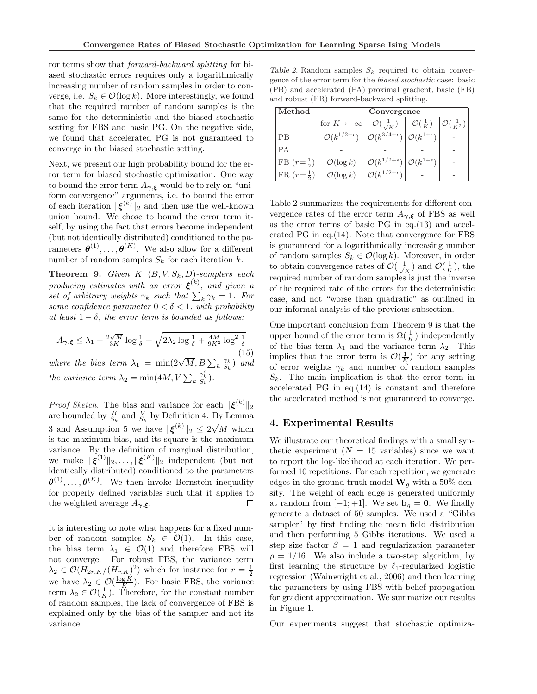ror terms show that forward-backward splitting for biased stochastic errors requires only a logarithmically increasing number of random samples in order to converge, i.e.  $S_k \in \mathcal{O}(\log k)$ . More interestingly, we found that the required number of random samples is the same for the deterministic and the biased stochastic setting for FBS and basic PG. On the negative side, we found that accelerated PG is not guaranteed to converge in the biased stochastic setting.

Next, we present our high probability bound for the error term for biased stochastic optimization. One way to bound the error term  $A_{\gamma,\xi}$  would be to rely on "uniform convergence" arguments, i.e. to bound the error of each iteration  $\|\boldsymbol{\xi}^{(k)}\|_2$  and then use the well-known union bound. We chose to bound the error term itself, by using the fact that errors become independent (but not identically distributed) conditioned to the parameters  $\boldsymbol{\theta}^{(1)}, \ldots, \boldsymbol{\theta}^{(K)}$ . We also allow for a different number of random samples  $S_k$  for each iteration  $k$ .

**Theorem 9.** Given  $K$   $(B, V, S_k, D)$ -samplers each producing estimates with an error  $\xi^{(k)}$ , and given a producing estimates with an error  $\xi^{\gamma}$ , and given a<br>set of arbitrary weights  $\gamma_k$  such that  $\sum_k \gamma_k = 1$ . For some confidence parameter  $0 < \delta < 1$ , with probability at least  $1 - \delta$ , the error term is bounded as follows:

$$
A_{\gamma,\xi} \le \lambda_1 + \frac{2\sqrt{M}}{3K} \log \frac{1}{\delta} + \sqrt{2\lambda_2 \log \frac{1}{\delta} + \frac{4M}{9K^2} \log^2 \frac{1}{\delta}}
$$
\nwhere the bias term  $\lambda_1 = \min(2\sqrt{M}, B \sum_k \frac{\gamma_k}{S_k})$  and  
the variance term  $\lambda_2 = \min(4M, V \sum_k \frac{\gamma_k^2}{S_k}).$ 

*Proof Sketch.* The bias and variance for each  $\|\boldsymbol{\xi}^{(k)}\|_2$ are bounded by  $\frac{B}{S_k}$  and  $\frac{V}{S_k}$  by Definition 4. By Lemma 3 and Assumption 5 we have  $\|\boldsymbol{\xi}^{(k)}\|_2 \leq 2\sqrt{M}$  which is the maximum bias, and its square is the maximum variance. By the definition of marginal distribution, we make  $\|\boldsymbol{\xi}^{(1)}\|_2, \ldots, \|\boldsymbol{\xi}^{(K)}\|_2$  independent (but not identically distributed) conditioned to the parameters  $\boldsymbol{\theta}^{(1)}, \ldots, \boldsymbol{\theta}^{(K)}$ . We then invoke Bernstein inequality for properly defined variables such that it applies to the weighted average  $A_{\gamma,\xi}$ .  $\Box$ 

It is interesting to note what happens for a fixed number of random samples  $S_k \in \mathcal{O}(1)$ . In this case, the bias term  $\lambda_1 \in \mathcal{O}(1)$  and therefore FBS will not converge. For robust FBS, the variance term  $\lambda_2 \in \mathcal{O}(H_{2r,K}/(H_{r,K})^2)$  which for instance for  $r = \frac{1}{2}$  $\lambda_2 \in \mathcal{O}(H_{2r,K}/(H_{r,K})$  ) which for instance for  $\ell = \frac{1}{2}$ <br>we have  $\lambda_2 \in \mathcal{O}(\frac{\log K}{K})$ . For basic FBS, the variance term  $\lambda_2 \in \mathcal{O}(\frac{1}{K})$ . Therefore, for the constant number of random samples, the lack of convergence of FBS is explained only by the bias of the sampler and not its variance.

Table 2. Random samples  $S_k$  required to obtain convergence of the error term for the biased stochastic case: basic (PB) and accelerated (PA) proximal gradient, basic (FB) and robust (FR) forward-backward splitting.

| Method                 | Convergence                     |                                                                          |                            |                              |  |
|------------------------|---------------------------------|--------------------------------------------------------------------------|----------------------------|------------------------------|--|
|                        | for $K \rightarrow +\infty$     | $\mathcal{O}(\frac{1}{\sqrt{K}})$                                        | $\mathcal{O}(\frac{1}{K})$ | $\mathcal{O}(\frac{1}{K^2})$ |  |
| <b>PB</b>              | $\mathcal{O}(k^{1/2+\epsilon})$ | $\left \mathcal{O}(k^{3/4+\epsilon})\right  \mathcal{O}(k^{1+\epsilon})$ |                            |                              |  |
| PА                     |                                 |                                                                          |                            |                              |  |
| FB $(r = \frac{1}{2})$ | $\mathcal{O}(\log k)$           | $\mathcal{O}(k^{1/2+\epsilon}) \mathcal{O}(k^{1+\epsilon})$              |                            |                              |  |
| $FR(r=\frac{1}{2})$    | $\mathcal{O}(\log k)$           | ${}^{\circ} \mathcal{O}(k^{1/2+\epsilon})$                               |                            |                              |  |

Table 2 summarizes the requirements for different convergence rates of the error term  $A_{\gamma,\xi}$  of FBS as well as the error terms of basic PG in eq.(13) and accelerated PG in eq.(14). Note that convergence for FBS is guaranteed for a logarithmically increasing number of random samples  $S_k \in \mathcal{O}(\log k)$ . Moreover, in order to obtain convergence rates of  $\mathcal{O}(\frac{1}{\sqrt{2}})$  $\frac{1}{\overline{K}}$ ) and  $\mathcal{O}(\frac{1}{K})$ , the required number of random samples is just the inverse of the required rate of the errors for the deterministic case, and not "worse than quadratic" as outlined in our informal analysis of the previous subsection.

One important conclusion from Theorem 9 is that the upper bound of the error term is  $\Omega(\frac{1}{K})$  independently of the bias term  $\lambda_1$  and the variance term  $\lambda_2$ . This implies that the error term is  $\mathcal{O}(\frac{1}{K})$  for any setting of error weights  $\gamma_k$  and number of random samples  $S_k$ . The main implication is that the error term in accelerated PG in eq.(14) is constant and therefore the accelerated method is not guaranteed to converge.

# 4. Experimental Results

We illustrate our theoretical findings with a small synthetic experiment  $(N = 15$  variables) since we want to report the log-likelihood at each iteration. We performed 10 repetitions. For each repetition, we generate edges in the ground truth model  $\mathbf{W}_q$  with a 50% density. The weight of each edge is generated uniformly at random from  $[-1; +1]$ . We set  $\mathbf{b}_q = \mathbf{0}$ . We finally generate a dataset of 50 samples. We used a "Gibbs sampler" by first finding the mean field distribution and then performing 5 Gibbs iterations. We used a step size factor  $\beta = 1$  and regularization parameter  $\rho = 1/16$ . We also include a two-step algorithm, by first learning the structure by  $\ell_1$ -regularized logistic regression (Wainwright et al., 2006) and then learning the parameters by using FBS with belief propagation for gradient approximation. We summarize our results in Figure 1.

Our experiments suggest that stochastic optimiza-